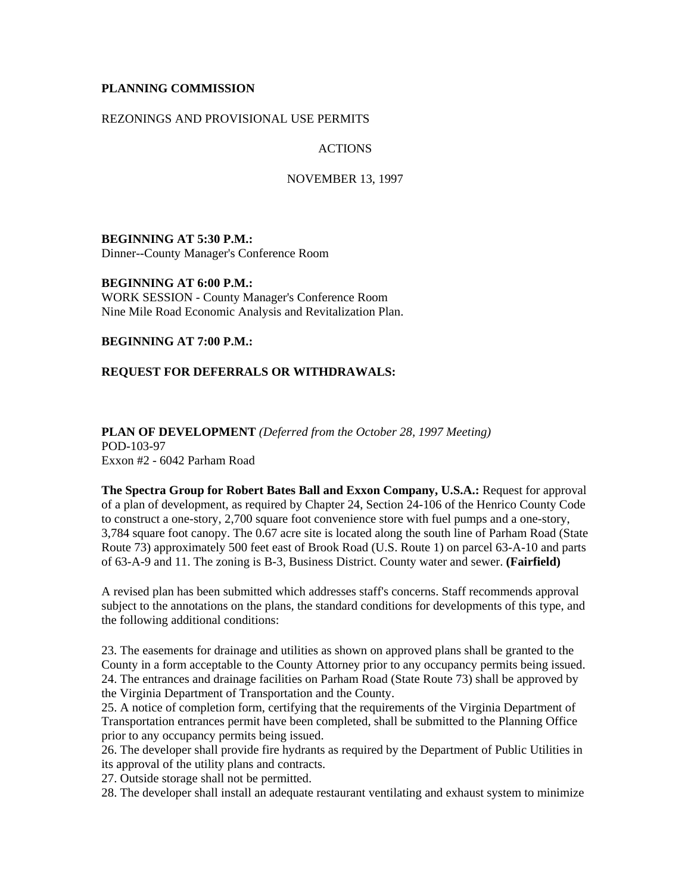#### **PLANNING COMMISSION**

### REZONINGS AND PROVISIONAL USE PERMITS

#### ACTIONS

#### NOVEMBER 13, 1997

**BEGINNING AT 5:30 P.M.:** Dinner--County Manager's Conference Room

**BEGINNING AT 6:00 P.M.:** WORK SESSION - County Manager's Conference Room Nine Mile Road Economic Analysis and Revitalization Plan.

**BEGINNING AT 7:00 P.M.:**

### **REQUEST FOR DEFERRALS OR WITHDRAWALS:**

**PLAN OF DEVELOPMENT** *(Deferred from the October 28, 1997 Meeting)* POD-103-97 Exxon #2 - 6042 Parham Road

**The Spectra Group for Robert Bates Ball and Exxon Company, U.S.A.:** Request for approval of a plan of development, as required by Chapter 24, Section 24-106 of the Henrico County Code to construct a one-story, 2,700 square foot convenience store with fuel pumps and a one-story, 3,784 square foot canopy. The 0.67 acre site is located along the south line of Parham Road (State Route 73) approximately 500 feet east of Brook Road (U.S. Route 1) on parcel 63-A-10 and parts of 63-A-9 and 11. The zoning is B-3, Business District. County water and sewer. **(Fairfield)**

A revised plan has been submitted which addresses staff's concerns. Staff recommends approval subject to the annotations on the plans, the standard conditions for developments of this type, and the following additional conditions:

23. The easements for drainage and utilities as shown on approved plans shall be granted to the County in a form acceptable to the County Attorney prior to any occupancy permits being issued. 24. The entrances and drainage facilities on Parham Road (State Route 73) shall be approved by the Virginia Department of Transportation and the County.

25. A notice of completion form, certifying that the requirements of the Virginia Department of Transportation entrances permit have been completed, shall be submitted to the Planning Office prior to any occupancy permits being issued.

26. The developer shall provide fire hydrants as required by the Department of Public Utilities in its approval of the utility plans and contracts.

27. Outside storage shall not be permitted.

28. The developer shall install an adequate restaurant ventilating and exhaust system to minimize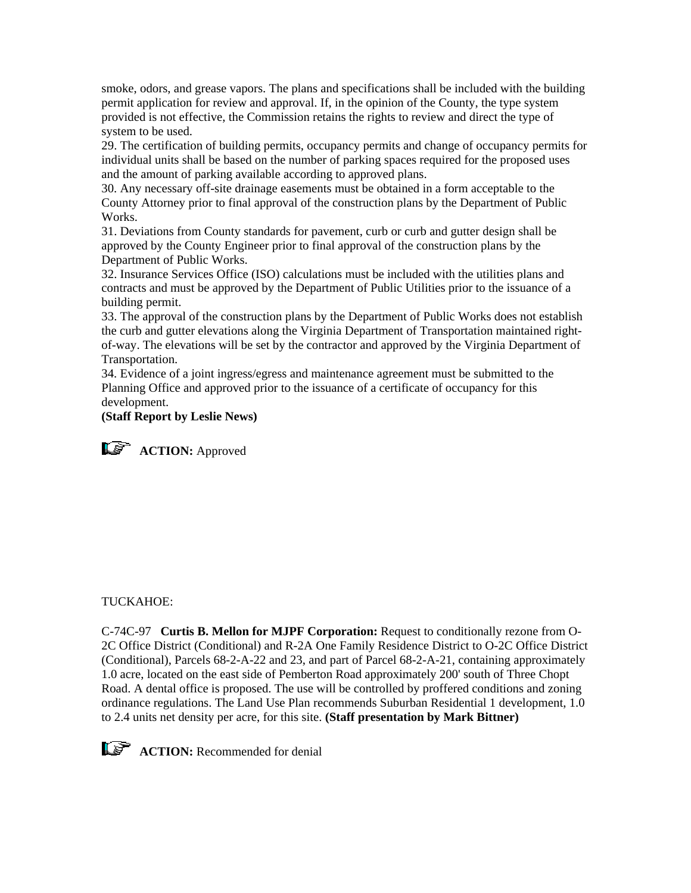smoke, odors, and grease vapors. The plans and specifications shall be included with the building permit application for review and approval. If, in the opinion of the County, the type system provided is not effective, the Commission retains the rights to review and direct the type of system to be used.

29. The certification of building permits, occupancy permits and change of occupancy permits for individual units shall be based on the number of parking spaces required for the proposed uses and the amount of parking available according to approved plans.

30. Any necessary off-site drainage easements must be obtained in a form acceptable to the County Attorney prior to final approval of the construction plans by the Department of Public Works.

31. Deviations from County standards for pavement, curb or curb and gutter design shall be approved by the County Engineer prior to final approval of the construction plans by the Department of Public Works.

32. Insurance Services Office (ISO) calculations must be included with the utilities plans and contracts and must be approved by the Department of Public Utilities prior to the issuance of a building permit.

33. The approval of the construction plans by the Department of Public Works does not establish the curb and gutter elevations along the Virginia Department of Transportation maintained rightof-way. The elevations will be set by the contractor and approved by the Virginia Department of Transportation.

34. Evidence of a joint ingress/egress and maintenance agreement must be submitted to the Planning Office and approved prior to the issuance of a certificate of occupancy for this development.

# **(Staff Report by Leslie News)**

**ACTION:** Approved

### TUCKAHOE:

C-74C-97 **Curtis B. Mellon for MJPF Corporation:** Request to conditionally rezone from O-2C Office District (Conditional) and R-2A One Family Residence District to O-2C Office District (Conditional), Parcels 68-2-A-22 and 23, and part of Parcel 68-2-A-21, containing approximately 1.0 acre, located on the east side of Pemberton Road approximately 200' south of Three Chopt Road. A dental office is proposed. The use will be controlled by proffered conditions and zoning ordinance regulations. The Land Use Plan recommends Suburban Residential 1 development, 1.0 to 2.4 units net density per acre, for this site. **(Staff presentation by Mark Bittner)**



**ACTION:** Recommended for denial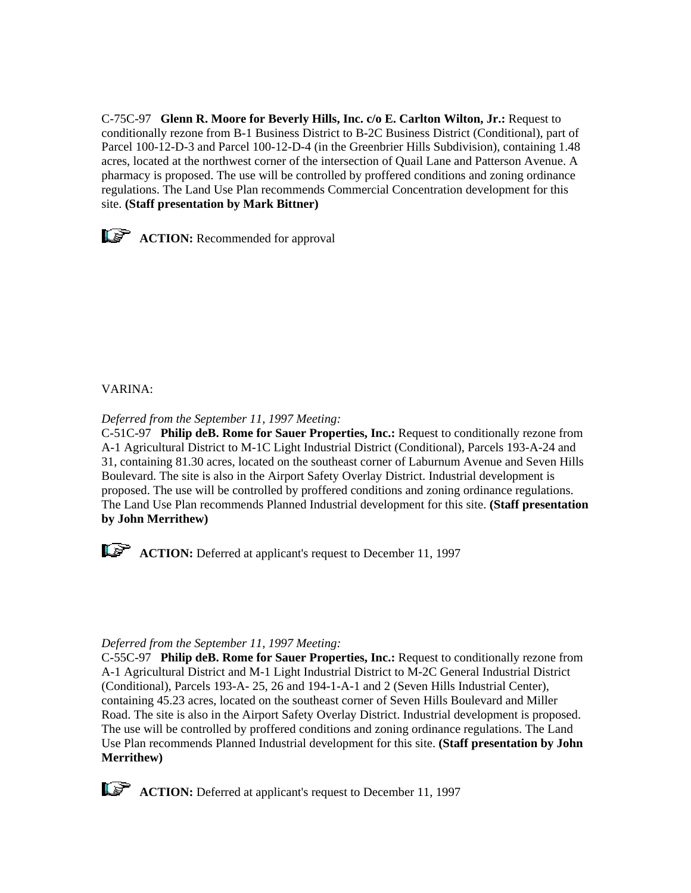C-75C-97 **Glenn R. Moore for Beverly Hills, Inc. c/o E. Carlton Wilton, Jr.:** Request to conditionally rezone from B-1 Business District to B-2C Business District (Conditional), part of Parcel 100-12-D-3 and Parcel 100-12-D-4 (in the Greenbrier Hills Subdivision), containing 1.48 acres, located at the northwest corner of the intersection of Quail Lane and Patterson Avenue. A pharmacy is proposed. The use will be controlled by proffered conditions and zoning ordinance regulations. The Land Use Plan recommends Commercial Concentration development for this site. **(Staff presentation by Mark Bittner)**



# VARINA:

*Deferred from the September 11, 1997 Meeting:*

C-51C-97 **Philip deB. Rome for Sauer Properties, Inc.:** Request to conditionally rezone from A-1 Agricultural District to M-1C Light Industrial District (Conditional), Parcels 193-A-24 and 31, containing 81.30 acres, located on the southeast corner of Laburnum Avenue and Seven Hills Boulevard. The site is also in the Airport Safety Overlay District. Industrial development is proposed. The use will be controlled by proffered conditions and zoning ordinance regulations. The Land Use Plan recommends Planned Industrial development for this site. **(Staff presentation by John Merrithew)**



**ACTION:** Deferred at applicant's request to December 11, 1997

### *Deferred from the September 11, 1997 Meeting:*

C-55C-97 **Philip deB. Rome for Sauer Properties, Inc.:** Request to conditionally rezone from A-1 Agricultural District and M-1 Light Industrial District to M-2C General Industrial District (Conditional), Parcels 193-A- 25, 26 and 194-1-A-1 and 2 (Seven Hills Industrial Center), containing 45.23 acres, located on the southeast corner of Seven Hills Boulevard and Miller Road. The site is also in the Airport Safety Overlay District. Industrial development is proposed. The use will be controlled by proffered conditions and zoning ordinance regulations. The Land Use Plan recommends Planned Industrial development for this site. **(Staff presentation by John Merrithew)**



**ACTION:** Deferred at applicant's request to December 11, 1997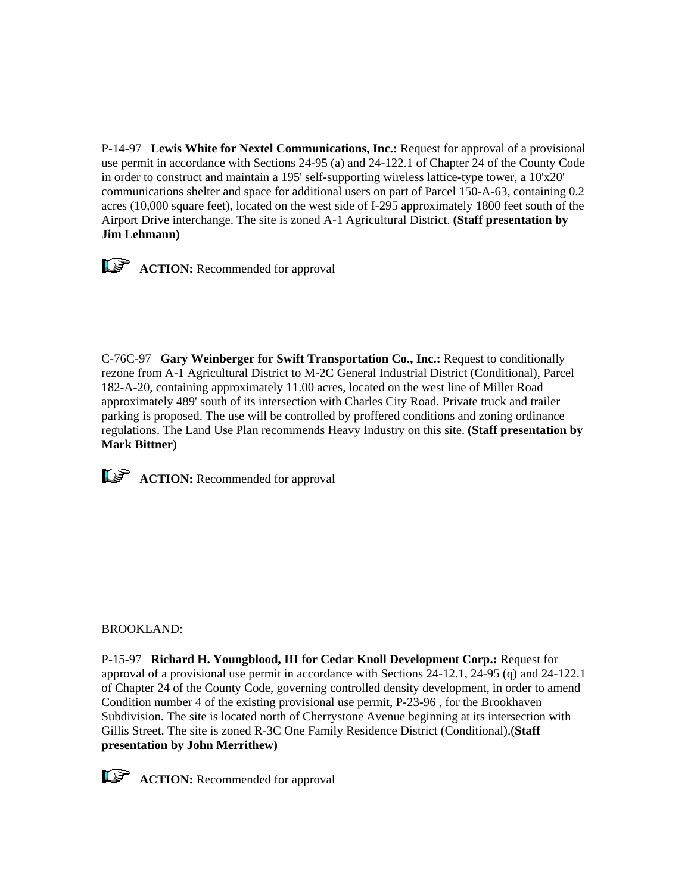P-14-97 **Lewis White for Nextel Communications, Inc.:** Request for approval of a provisional use permit in accordance with Sections 24-95 (a) and 24-122.1 of Chapter 24 of the County Code in order to construct and maintain a 195' self-supporting wireless lattice-type tower, a 10'x20' communications shelter and space for additional users on part of Parcel 150-A-63, containing 0.2 acres (10,000 square feet), located on the west side of I-295 approximately 1800 feet south of the Airport Drive interchange. The site is zoned A-1 Agricultural District. **(Staff presentation by Jim Lehmann)**



C-76C-97 **Gary Weinberger for Swift Transportation Co., Inc.:** Request to conditionally rezone from A-1 Agricultural District to M-2C General Industrial District (Conditional), Parcel 182-A-20, containing approximately 11.00 acres, located on the west line of Miller Road approximately 489' south of its intersection with Charles City Road. Private truck and trailer parking is proposed. The use will be controlled by proffered conditions and zoning ordinance regulations. The Land Use Plan recommends Heavy Industry on this site. **(Staff presentation by Mark Bittner)**



**ACTION:** Recommended for approval

### BROOKLAND:

P-15-97 **Richard H. Youngblood, III for Cedar Knoll Development Corp.:** Request for approval of a provisional use permit in accordance with Sections 24-12.1, 24-95 (q) and 24-122.1 of Chapter 24 of the County Code, governing controlled density development, in order to amend Condition number 4 of the existing provisional use permit, P-23-96 , for the Brookhaven Subdivision. The site is located north of Cherrystone Avenue beginning at its intersection with Gillis Street. The site is zoned R-3C One Family Residence District (Conditional).(**Staff presentation by John Merrithew)**

**ACTION:** Recommended for approval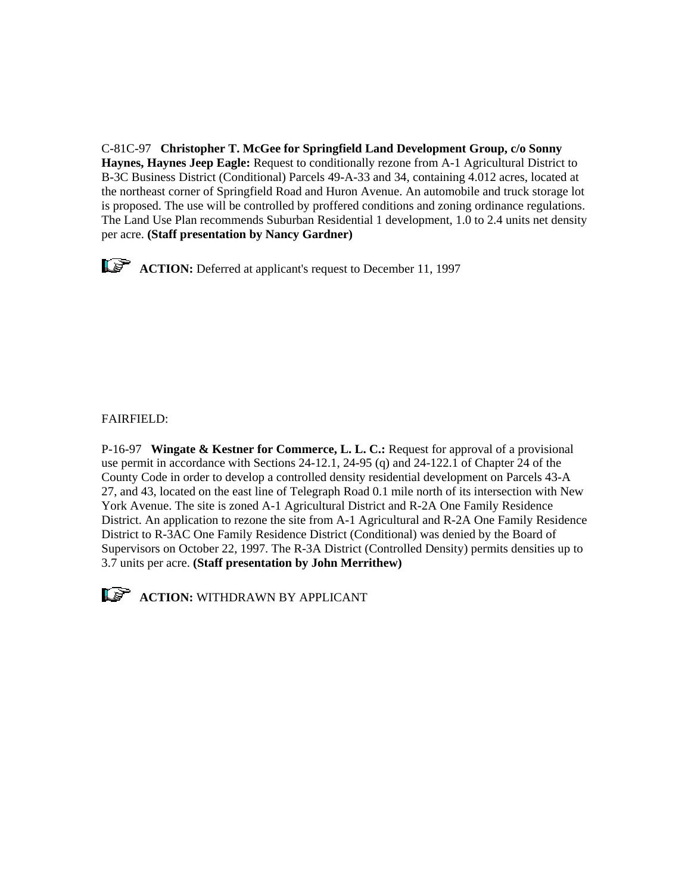C-81C-97 **Christopher T. McGee for Springfield Land Development Group, c/o Sonny Haynes, Haynes Jeep Eagle:** Request to conditionally rezone from A-1 Agricultural District to B-3C Business District (Conditional) Parcels 49-A-33 and 34, containing 4.012 acres, located at the northeast corner of Springfield Road and Huron Avenue. An automobile and truck storage lot is proposed. The use will be controlled by proffered conditions and zoning ordinance regulations. The Land Use Plan recommends Suburban Residential 1 development, 1.0 to 2.4 units net density per acre. **(Staff presentation by Nancy Gardner)**

**ACTION:** Deferred at applicant's request to December 11, 1997

# FAIRFIELD:

P-16-97 **Wingate & Kestner for Commerce, L. L. C.:** Request for approval of a provisional use permit in accordance with Sections 24-12.1, 24-95 (q) and 24-122.1 of Chapter 24 of the County Code in order to develop a controlled density residential development on Parcels 43-A 27, and 43, located on the east line of Telegraph Road 0.1 mile north of its intersection with New York Avenue. The site is zoned A-1 Agricultural District and R-2A One Family Residence District. An application to rezone the site from A-1 Agricultural and R-2A One Family Residence District to R-3AC One Family Residence District (Conditional) was denied by the Board of Supervisors on October 22, 1997. The R-3A District (Controlled Density) permits densities up to 3.7 units per acre. **(Staff presentation by John Merrithew)**



**ACTION:** WITHDRAWN BY APPLICANT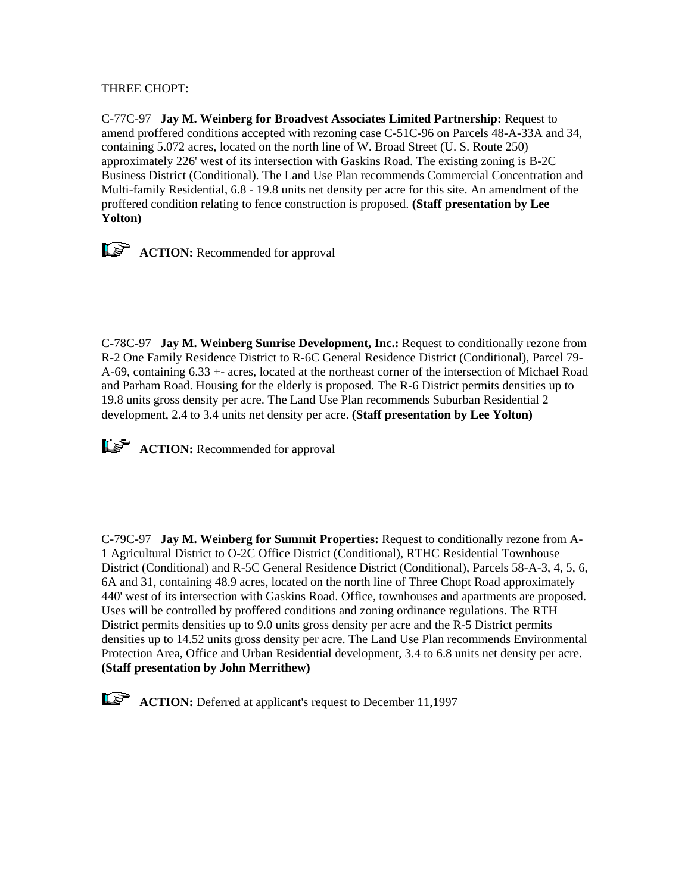# THREE CHOPT:

C-77C-97 **Jay M. Weinberg for Broadvest Associates Limited Partnership:** Request to amend proffered conditions accepted with rezoning case C-51C-96 on Parcels 48-A-33A and 34, containing 5.072 acres, located on the north line of W. Broad Street (U. S. Route 250) approximately 226' west of its intersection with Gaskins Road. The existing zoning is B-2C Business District (Conditional). The Land Use Plan recommends Commercial Concentration and Multi-family Residential, 6.8 - 19.8 units net density per acre for this site. An amendment of the proffered condition relating to fence construction is proposed. **(Staff presentation by Lee Yolton)**



C-78C-97 **Jay M. Weinberg Sunrise Development, Inc.:** Request to conditionally rezone from R-2 One Family Residence District to R-6C General Residence District (Conditional), Parcel 79- A-69, containing 6.33 +- acres, located at the northeast corner of the intersection of Michael Road and Parham Road. Housing for the elderly is proposed. The R-6 District permits densities up to 19.8 units gross density per acre. The Land Use Plan recommends Suburban Residential 2 development, 2.4 to 3.4 units net density per acre. **(Staff presentation by Lee Yolton)**



**ACTION:** Recommended for approval

C-79C-97 **Jay M. Weinberg for Summit Properties:** Request to conditionally rezone from A-1 Agricultural District to O-2C Office District (Conditional), RTHC Residential Townhouse District (Conditional) and R-5C General Residence District (Conditional), Parcels 58-A-3, 4, 5, 6, 6A and 31, containing 48.9 acres, located on the north line of Three Chopt Road approximately 440' west of its intersection with Gaskins Road. Office, townhouses and apartments are proposed. Uses will be controlled by proffered conditions and zoning ordinance regulations. The RTH District permits densities up to 9.0 units gross density per acre and the R-5 District permits densities up to 14.52 units gross density per acre. The Land Use Plan recommends Environmental Protection Area, Office and Urban Residential development, 3.4 to 6.8 units net density per acre. **(Staff presentation by John Merrithew)**

**ACTION:** Deferred at applicant's request to December 11,1997